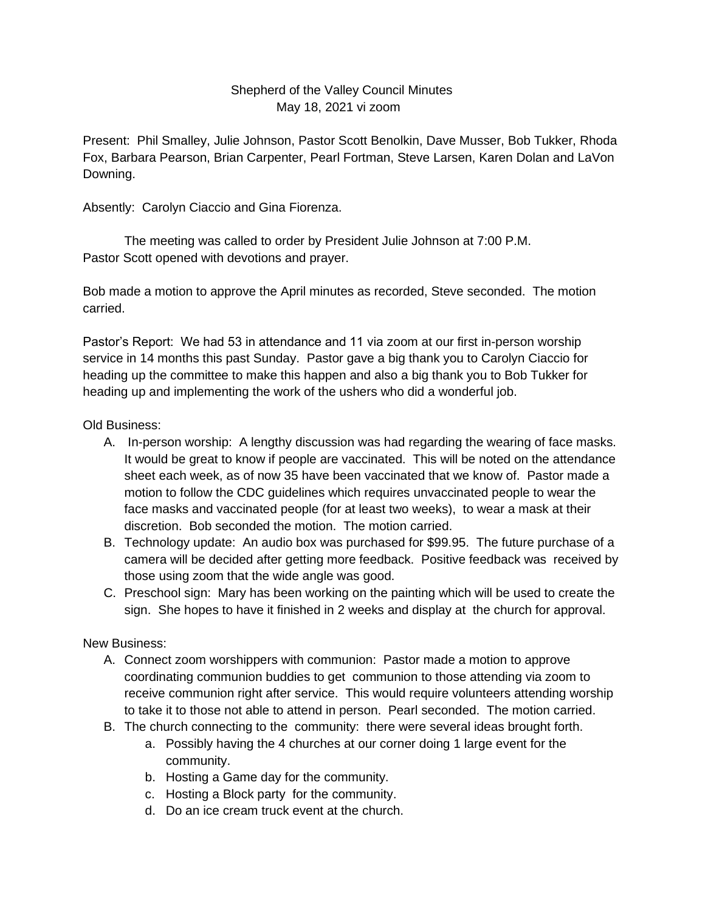## Shepherd of the Valley Council Minutes May 18, 2021 vi zoom

Present: Phil Smalley, Julie Johnson, Pastor Scott Benolkin, Dave Musser, Bob Tukker, Rhoda Fox, Barbara Pearson, Brian Carpenter, Pearl Fortman, Steve Larsen, Karen Dolan and LaVon Downing.

Absently: Carolyn Ciaccio and Gina Fiorenza.

The meeting was called to order by President Julie Johnson at 7:00 P.M. Pastor Scott opened with devotions and prayer.

Bob made a motion to approve the April minutes as recorded, Steve seconded. The motion carried.

Pastor's Report: We had 53 in attendance and 11 via zoom at our first in-person worship service in 14 months this past Sunday. Pastor gave a big thank you to Carolyn Ciaccio for heading up the committee to make this happen and also a big thank you to Bob Tukker for heading up and implementing the work of the ushers who did a wonderful job.

## Old Business:

- A. In-person worship: A lengthy discussion was had regarding the wearing of face masks. It would be great to know if people are vaccinated. This will be noted on the attendance sheet each week, as of now 35 have been vaccinated that we know of. Pastor made a motion to follow the CDC guidelines which requires unvaccinated people to wear the face masks and vaccinated people (for at least two weeks), to wear a mask at their discretion. Bob seconded the motion. The motion carried.
- B. Technology update: An audio box was purchased for \$99.95. The future purchase of a camera will be decided after getting more feedback. Positive feedback was received by those using zoom that the wide angle was good.
- C. Preschool sign: Mary has been working on the painting which will be used to create the sign. She hopes to have it finished in 2 weeks and display at the church for approval.

New Business:

- A. Connect zoom worshippers with communion: Pastor made a motion to approve coordinating communion buddies to get communion to those attending via zoom to receive communion right after service. This would require volunteers attending worship to take it to those not able to attend in person. Pearl seconded. The motion carried.
- B. The church connecting to the community: there were several ideas brought forth.
	- a. Possibly having the 4 churches at our corner doing 1 large event for the community.
	- b. Hosting a Game day for the community.
	- c. Hosting a Block party for the community.
	- d. Do an ice cream truck event at the church.